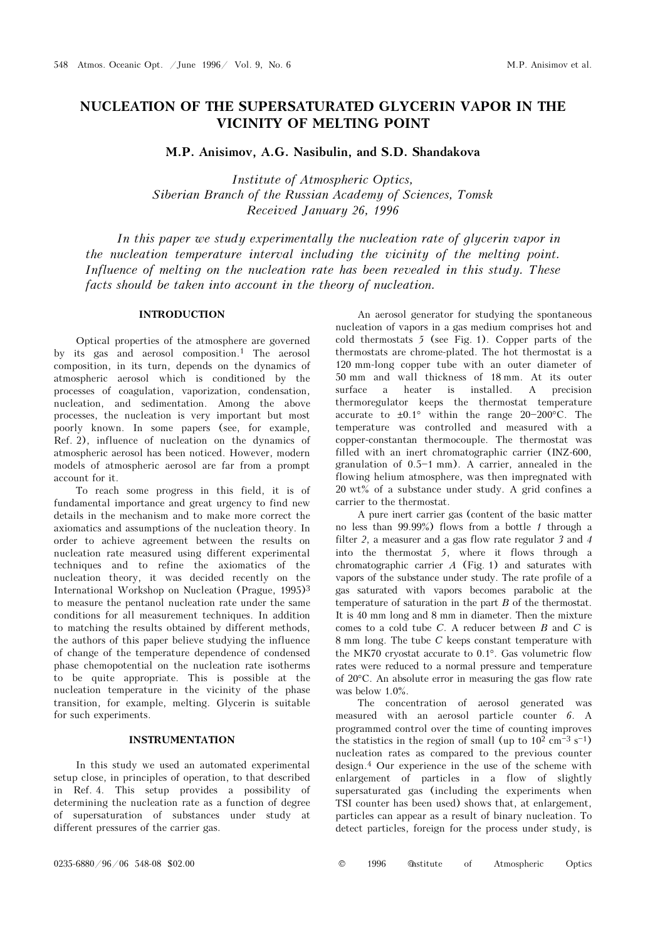# NUCLEATION OF THE SUPERSATURATED GLYCERIN VAPOR IN THE VICINITY OF MELTING POINT

M.P. Anisimov, A.G. Nasibulin, and S.D. Shandakova

Institute of Atmospheric Optics, Siberian Branch of the Russian Academy of Sciences, Tomsk Received January 26, 1996

In this paper we study experimentally the nucleation rate of glycerin vapor in the nucleation temperature interval including the vicinity of the melting point. Influence of melting on the nucleation rate has been revealed in this study. These facts should be taken into account in the theory of nucleation.

# INTRODUCTION

Optical properties of the atmosphere are governed by its gas and aerosol composition.1 The aerosol composition, in its turn, depends on the dynamics of atmospheric aerosol which is conditioned by the processes of coagulation, vaporization, condensation, nucleation, and sedimentation. Among the above processes, the nucleation is very important but most poorly known. In some papers (see, for example, Ref. 2), influence of nucleation on the dynamics of atmospheric aerosol has been noticed. However, modern models of atmospheric aerosol are far from a prompt account for it.

To reach some progress in this field, it is of fundamental importance and great urgency to find new details in the mechanism and to make more correct the axiomatics and assumptions of the nucleation theory. In order to achieve agreement between the results on nucleation rate measured using different experimental techniques and to refine the axiomatics of the nucleation theory, it was decided recently on the International Workshop on Nucleation (Prague, 1995)<sup>3</sup> to measure the pentanol nucleation rate under the same conditions for all measurement techniques. In addition to matching the results obtained by different methods, the authors of this paper believe studying the influence of change of the temperature dependence of condensed phase chemopotential on the nucleation rate isotherms to be quite appropriate. This is possible at the nucleation temperature in the vicinity of the phase transition, for example, melting. Glycerin is suitable for such experiments.

### INSTRUMENTATION

In this study we used an automated experimental setup close, in principles of operation, to that described in Ref. 4. This setup provides a possibility of determining the nucleation rate as a function of degree of supersaturation of substances under study at different pressures of the carrier gas.

An aerosol generator for studying the spontaneous nucleation of vapors in a gas medium comprises hot and cold thermostats 5 (see Fig. 1). Copper parts of the thermostats are chrome-plated. The hot thermostat is a 120 mm-long copper tube with an outer diameter of 50 mm and wall thickness of 18 mm. At its outer surface a heater is installed. A precision thermoregulator keeps the thermostat temperature accurate to  $\pm 0.1^\circ$  within the range 20-200°C. The temperature was controlled and measured with a copper-constantan thermocouple. The thermostat was filled with an inert chromatographic carrier (INZ-600, granulation of  $0.5-1$  mm). A carrier, annealed in the flowing helium atmosphere, was then impregnated with 20 wt% of a substance under study. A grid confines a carrier to the thermostat.

A pure inert carrier gas (content of the basic matter no less than 99.99%) flows from a bottle 1 through a filter 2, a measurer and a gas flow rate regulator 3 and 4 into the thermostat 5, where it flows through a chromatographic carrier  $A$  (Fig. 1) and saturates with vapors of the substance under study. The rate profile of a gas saturated with vapors becomes parabolic at the temperature of saturation in the part B of the thermostat. It is 40 mm long and 8 mm in diameter. Then the mixture comes to a cold tube C. A reducer between B and C is 8 mm long. The tube C keeps constant temperature with the MK70 cryostat accurate to 0.1°. Gas volumetric flow rates were reduced to a normal pressure and temperature of 20°C. An absolute error in measuring the gas flow rate was below 1.0%.

The concentration of aerosol generated was measured with an aerosol particle counter 6. A programmed control over the time of counting improves the statistics in the region of small (up to  $10^2$  cm<sup>{-3}</sup> s<sup>{-1}}</sup> nucleation rates as compared to the previous counter design.4 Our experience in the use of the scheme with enlargement of particles in a flow of slightly supersaturated gas (including the experiments when TSI counter has been used) shows that, at enlargement, particles can appear as a result of binary nucleation. To detect particles, foreign for the process under study, is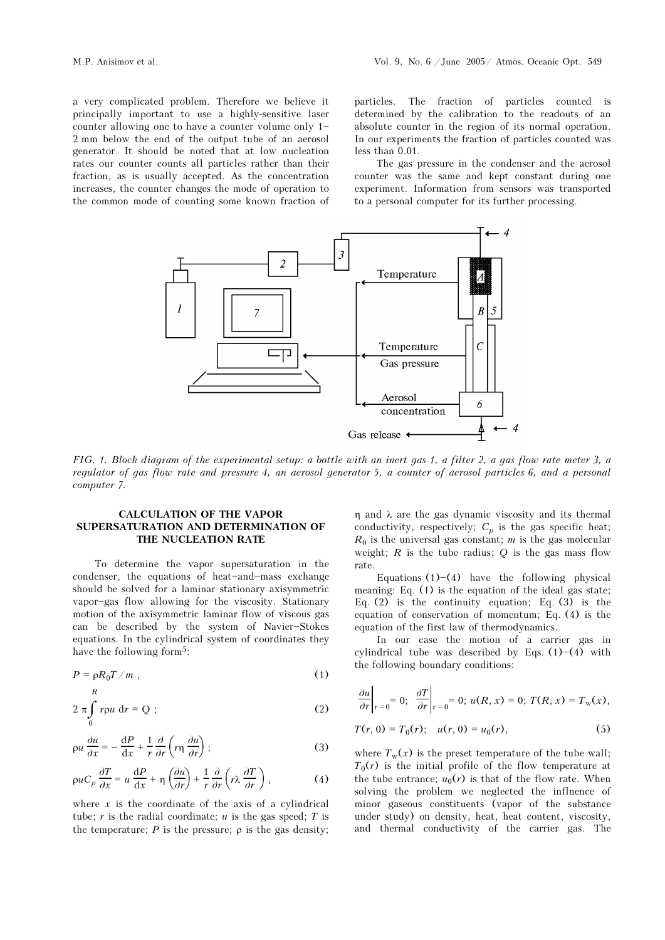a very complicated problem. Therefore we believe it principally important to use a highly-sensitive laser counter allowing one to have a counter volume only  $1-$ 2 mm below the end of the output tube of an aerosol generator. It should be noted that at low nucleation rates our counter counts all particles rather than their fraction, as is usually accepted. As the concentration increases, the counter changes the mode of operation to the common mode of counting some known fraction of particles. The fraction of particles counted is determined by the calibration to the readouts of an absolute counter in the region of its normal operation. In our experiments the fraction of particles counted was less than 0.01.

The gas pressure in the condenser and the aerosol counter was the same and kept constant during one experiment. Information from sensors was transported to a personal computer for its further processing.



FIG. 1. Block diagram of the experimental setup: a bottle with an inert gas 1, a filter 2, a gas flow rate meter 3, a regulator of gas flow rate and pressure 4, an aerosol generator 5, a counter of aerosol particles 6, and a personal computer 7.

### CALCULATION OF THE VAPOR SUPERSATURATION AND DETERMINATION OF THE NUCLEATION RATE

To determine the vapor supersaturation in the condenser, the equations of heat-and-mass exchange should be solved for a laminar stationary axisymmetric vapor-gas flow allowing for the viscosity. Stationary motion of the axisymmetric laminar flow of viscous gas can be described by the system of Navier-Stokes equations. In the cylindrical system of coordinates they have the following form<sup>5</sup>:

$$
P = \rho R_0 T / m \;, \tag{1}
$$

$$
2 \pi \int_{0}^{1} r \rho u \, \mathrm{d}r = Q \tag{2}
$$

$$
\rho u \frac{\partial u}{\partial x} = -\frac{dP}{dx} + \frac{1}{r} \frac{\partial}{\partial r} \left( r \eta \frac{\partial u}{\partial r} \right);
$$
 (3)

$$
\rho u C_p \frac{\partial T}{\partial x} = u \frac{dP}{dx} + \eta \left( \frac{\partial u}{\partial r} \right) + \frac{1}{r} \frac{\partial}{\partial r} \left( r \lambda \frac{\partial T}{\partial r} \right), \tag{4}
$$

where  $x$  is the coordinate of the axis of a cylindrical tube; r is the radial coordinate; u is the gas speed; T is the temperature;  $P$  is the pressure;  $\rho$  is the gas density; η and λ are the gas dynamic viscosity and its thermal conductivity, respectively;  $C_p$  is the gas specific heat;  $R_0$  is the universal gas constant; m is the gas molecular weight;  $R$  is the tube radius;  $Q$  is the gas mass flow rate.

Equations  $(1)$ - $(4)$  have the following physical meaning: Eq. (1) is the equation of the ideal gas state; Eq.  $(2)$  is the continuity equation; Eq.  $(3)$  is the equation of conservation of momentum; Eq. (4) is the equation of the first law of thermodynamics.

In our case the motion of a carrier gas in cylindrical tube was described by Eqs.  $(1)$  - $(4)$  with the following boundary conditions:

$$
\left.\frac{\partial u}{\partial r}\right|_{r=0}=0;\ \left.\frac{\partial T}{\partial r}\right|_{r=0}=0;\ u(R,x)=0;\ T(R,x)=T_{\rm w}(x),
$$

$$
T(r, 0) = T_0(r); \quad u(r, 0) = u_0(r), \tag{5}
$$

where  $T_w(x)$  is the preset temperature of the tube wall;  $T_0(r)$  is the initial profile of the flow temperature at the tube entrance;  $u_0(r)$  is that of the flow rate. When solving the problem we neglected the influence of minor gaseous constituents (vapor of the substance under study) on density, heat, heat content, viscosity, and thermal conductivity of the carrier gas. The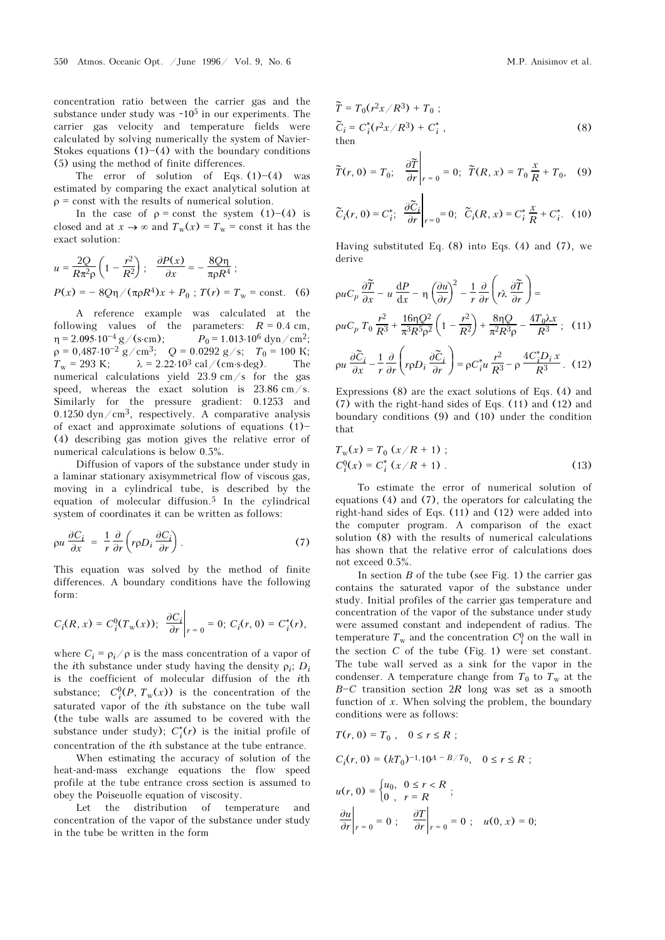concentration ratio between the carrier gas and the substance under study was  $~10<sup>5</sup>$  in our experiments. The carrier gas velocity and temperature fields were calculated by solving numerically the system of Navier-Stokes equations  $(1)$ – $(4)$  with the boundary conditions (5) using the method of finite differences.

The error of solution of Eqs.  $(1)-(4)$  was estimated by comparing the exact analytical solution at  $\rho$  = const with the results of numerical solution.

In the case of  $\rho =$  const the system (1)–(4) is closed and at  $x \to \infty$  and  $T_w(x) = T_w = \text{const}$  it has the exact solution:

$$
u = \frac{2Q}{R\pi^2 \rho} \left( 1 - \frac{r^2}{R^2} \right); \quad \frac{\partial P(x)}{\partial x} = -\frac{8Q\eta}{\pi \rho R^4};
$$
  
 
$$
P(x) = -8Q\eta / (\pi \rho R^4)x + P_0; \quad T(r) = T_w = \text{const.}
$$
 (6)

A reference example was calculated at the following values of the parameters:  $R = 0.4$  cm,<br>  $n = 2.095 \cdot 10^{-4} g / (s \cdot cm);$   $P_0 = 1.013 \cdot 10^6$  dyn/cm<sup>2</sup>;  $P_0 = 1.013 \cdot 10^6$  dyn/cm<sup>2</sup>;  $\rho = 0,487 \cdot 10^{-2}$  g/cm<sup>3</sup>; Q = 0.0292 g/s;  $T_0 = 100$  K;<br>  $T_w = 293$  K;  $\lambda = 2.22 \cdot 10^3$  cal/(cm s deg). The  $\lambda = 2.22 \cdot 10^3$  cal/(cm⋅s⋅deg). The numerical calculations yield 23.9 cm/s for the gas speed, whereas the exact solution is 23.86 cm/s. Similarly for the pressure gradient: 0.1253 and 0.1250 dyn/cm<sup>3</sup>, respectively. A comparative analysis of exact and approximate solutions of equations  $(1)$ (4) describing gas motion gives the relative error of numerical calculations is below 0.5%.

Diffusion of vapors of the substance under study in a laminar stationary axisymmetrical flow of viscous gas, moving in a cylindrical tube, is described by the equation of molecular diffusion.5 In the cylindrical system of coordinates it can be written as follows:

$$
\rho u \frac{\partial C_i}{\partial x} = \frac{1}{r} \frac{\partial}{\partial r} \left( r \rho D_i \frac{\partial C_i}{\partial r} \right). \tag{7}
$$

This equation was solved by the method of finite differences. A boundary conditions have the following form:

$$
C_i(R, x) = C_i^0(T_w(x)); \frac{\partial C_i}{\partial r}\bigg|_{r=0} = 0; C_i(r, 0) = C_i^*(r),
$$

where  $C_i = \rho_i / \rho$  is the mass concentration of a vapor of the *i*th substance under study having the density  $\rho_i$ ;  $D_i$ is the coefficient of molecular diffusion of the ith substance;  $C_i^0(P, T_w(x))$  is the concentration of the saturated vapor of the ith substance on the tube wall (the tube walls are assumed to be covered with the substance under study);  $C_i^*(r)$  is the initial profile of concentration of the ith substance at the tube entrance.

When estimating the accuracy of solution of the heat-and-mass exchange equations the flow speed profile at the tube entrance cross section is assumed to obey the Poiseuolle equation of viscosity.

Let the distribution of temperature and concentration of the vapor of the substance under study in the tube be written in the form

$$
\widetilde{T} = T_0(r^2x/R^3) + T_0 ;
$$
  
\n
$$
\widetilde{C}_i = C_i^*(r^2x/R^3) + C_i^*,
$$
  
\nthen (8)

$$
\widetilde{T}(r, 0) = T_0; \quad \frac{\partial \widetilde{T}}{\partial r}\bigg|_{r=0} = 0; \quad \widetilde{T}(R, x) = T_0 \frac{x}{R} + T_0, \quad (9)
$$

 $\overline{1}$ 

 $\mathbf{I}$ 

$$
\widetilde{C}_i(r,0) = C_i^*, \quad \frac{\partial \widetilde{C}_i}{\partial r}\bigg|_{r=0} = 0; \quad \widetilde{C}_i(R,x) = C_i^* \frac{x}{R} + C_i^*.
$$
 (10)

Having substituted Eq. (8) into Eqs. (4) and (7), we derive

$$
\rho u C_p \frac{\partial \tilde{T}}{\partial x} - u \frac{dP}{dx} - \eta \left(\frac{\partial u}{\partial r}\right)^2 - \frac{1}{r} \frac{\partial}{\partial r} \left(r \lambda \frac{\partial \tilde{T}}{\partial r}\right) =
$$
  
\n
$$
\rho u C_p T_0 \frac{r^2}{R^3} + \frac{16 \eta Q^2}{\pi^3 R^5 \rho^2} \left(1 - \frac{r^2}{R^2}\right) + \frac{8 \eta Q}{\pi^2 R^3 \rho} - \frac{4T_0 \lambda x}{R^3};
$$
 (11)  
\n
$$
\rho u \frac{\partial \tilde{C}_i}{\partial x} - \frac{1}{r} \frac{\partial}{\partial r} \left(r \rho D_i \frac{\partial \tilde{C}_i}{\partial r}\right) = \rho C_i^* u \frac{r^2}{R^3} - \rho \frac{4C_i^* D_i x}{R^3}. \quad (12)
$$

Expressions (8) are the exact solutions of Eqs. 
$$
(4)
$$
 and  $(7)$  with the right-hand (9) and  $(10)$  and  $(11)$  and  $(12)$  and  $(10)$  under the condition

$$
T_{w}(x) = T_{0} (x/R + 1) ;
$$
  
\n
$$
C_{i}^{0}(x) = C_{i}^{*} (x/R + 1) .
$$
\n(13)

that

To estimate the error of numerical solution of equations (4) and (7), the operators for calculating the right-hand sides of Eqs. (11) and (12) were added into the computer program. A comparison of the exact solution (8) with the results of numerical calculations has shown that the relative error of calculations does not exceed 0.5%.

In section  $B$  of the tube (see Fig. 1) the carrier gas contains the saturated vapor of the substance under study. Initial profiles of the carrier gas temperature and concentration of the vapor of the substance under study were assumed constant and independent of radius. The temperature  $T_{\rm w}$  and the concentration  $C_i^0$  on the wall in the section  $C$  of the tube (Fig. 1) were set constant. The tube wall served as a sink for the vapor in the condenser. A temperature change from  $T_0$  to  $T_w$  at the  $B-C$  transition section  $2R$  long was set as a smooth function of  $x$ . When solving the problem, the boundary conditions were as follows:

$$
T(r, 0) = T_0, \quad 0 \le r \le R ;
$$
  
\n
$$
C_i(r, 0) = (kT_0)^{-1} \cdot 10^{A - B/T_0}, \quad 0 \le r \le R ;
$$
  
\n
$$
u(r, 0) =\begin{cases} u_0, & 0 \le r < R \\ 0, & r = R \end{cases};
$$
  
\n
$$
\frac{\partial u}{\partial r}\Big|_{r=0} = 0; \quad \frac{\partial T}{\partial r}\Big|_{r=0} = 0; \quad u(0, x) = 0;
$$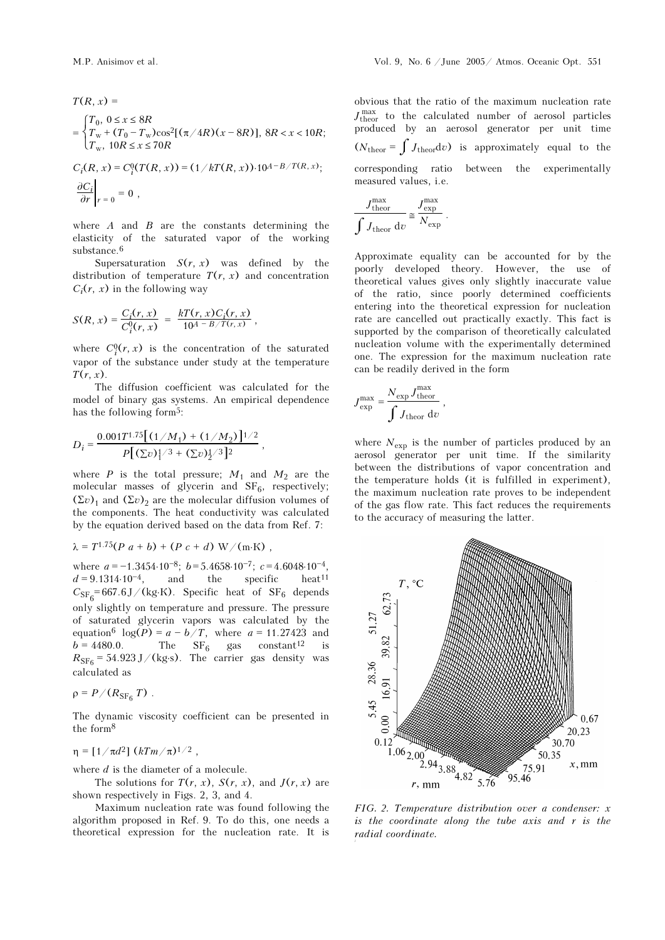$$
T(R, x) =
$$
  
= 
$$
\begin{cases} T_0, 0 \le x \le 8R \\ T_w + (T_0 - T_w)\cos^2[(\pi/4R)(x - 8R)], 8R < x < 10R; \\ T_w, 10R \le x \le 70R \end{cases}
$$

$$
C_i(R, x) = C_i^0(T(R, x)) = (1/kT(R, x)) \cdot 10^{A-B/T(R, x)};
$$
  
\n
$$
\left. \frac{\partial C_i}{\partial r} \right|_{r=0} = 0,
$$

where  $A$  and  $B$  are the constants determining the elasticity of the saturated vapor of the working substance.<sup>6</sup>

Supersaturation  $S(r, x)$  was defined by the distribution of temperature  $T(r, x)$  and concentration  $C_i(r, x)$  in the following way

$$
S(R, x) = \frac{C_i(r, x)}{C_i^0(r, x)} = \frac{kT(r, x)C_i(r, x)}{10^{A - B/T(r, x)}},
$$

where  $C_i^0(r, x)$  is the concentration of the saturated vapor of the substance under study at the temperature  $T(r, x)$ .

The diffusion coefficient was calculated for the model of binary gas systems. An empirical dependence has the following form<sup>5</sup>:

$$
D_i = \frac{0.001T^{1.75}[(1/M_1) + (1/M_2)]^{1/2}}{P[(\Sigma v)^{1/3} + (\Sigma v)^{1/3}]^2},
$$

where  $P$  is the total pressure;  $M_1$  and  $M_2$  are the molecular masses of glycerin and  $SF_6$ , respectively;  $(\Sigma v)_1$  and  $(\Sigma v)_2$  are the molecular diffusion volumes of the components. The heat conductivity was calculated by the equation derived based on the data from Ref. 7:

$$
\lambda = T^{1.75}(P\ a + b) + (P\ c + d)\ W/(m\ K) ,
$$

where  $a = -1.3454·10^{-8}$ ;  $b = 5.4658·10^{-7}$ ;  $c = 4.6048·10^{-4}$ ,  $d = 9.1314 \cdot 10^{-4}$ , and the specific heat<sup>11</sup>  $C_\mathrm{SF_6}\text{=}\,667.6\,\mathrm{J}/\,\mathrm{(kg\cdot K)}$  . Specific heat of  $\mathrm{SF}_6$  depends only slightly on temperature and pressure. The pressure of saturated glycerin vapors was calculated by the equation<sup>6</sup>  $log(P) = a - b/T$ , where  $a = 11.27423$  and  $b = 4480.0$ . The  $SF_6$  gas constant<sup>12</sup> is  $R_{\rm SF_6}$  = 54.923 J/(kg⋅s). The carrier gas density was calculated as

$$
\rho = P/(R_{\rm SF_6} T) \ .
$$

The dynamic viscosity coefficient can be presented in the form<sup>8</sup>

$$
\eta = [1/\pi d^2] (kTm/\pi)^{1/2} ,
$$

where  $d$  is the diameter of a molecule.

The solutions for  $T(r, x)$ ,  $S(r, x)$ , and  $J(r, x)$  are shown respectively in Figs. 2, 3, and 4.

Maximum nucleation rate was found following the algorithm proposed in Ref. 9. To do this, one needs a theoretical expression for the nucleation rate. It is obvious that the ratio of the maximum nucleation rate  $J_{\rm theor}^{\rm max}$  to the calculated number of aerosol particles produced by an aerosol generator per unit time  $(N_{\text{theor}} = \int J_{\text{theor}} dv)$  is approximately equal to the corresponding ratio between the experimentally measured values, i.e.

$$
\frac{J_{\text{theor}}^{\text{max}}}{\int J_{\text{theor}} d\upsilon} \approx \frac{J_{\text{exp}}^{\text{max}}}{N_{\text{exp}}}.
$$

Approximate equality can be accounted for by the poorly developed theory. However, the use of theoretical values gives only slightly inaccurate value of the ratio, since poorly determined coefficients entering into the theoretical expression for nucleation rate are cancelled out practically exactly. This fact is supported by the comparison of theoretically calculated nucleation volume with the experimentally determined one. The expression for the maximum nucleation rate can be readily derived in the form

$$
J_{\rm exp}^{\rm max} = \frac{N_{\rm exp}\,J_{\rm theor}^{\rm max}}{\int J_{\rm theor}\;{\rm d}v}\;,
$$

where  $N_{\text{exp}}$  is the number of particles produced by an aerosol generator per unit time. If the similarity between the distributions of vapor concentration and the temperature holds (it is fulfilled in experiment), the maximum nucleation rate proves to be independent of the gas flow rate. This fact reduces the requirements to the accuracy of measuring the latter.



FIG. 2. Temperature distribution over a condenser: x is the coordinate along the tube axis and r is the radial coordinate.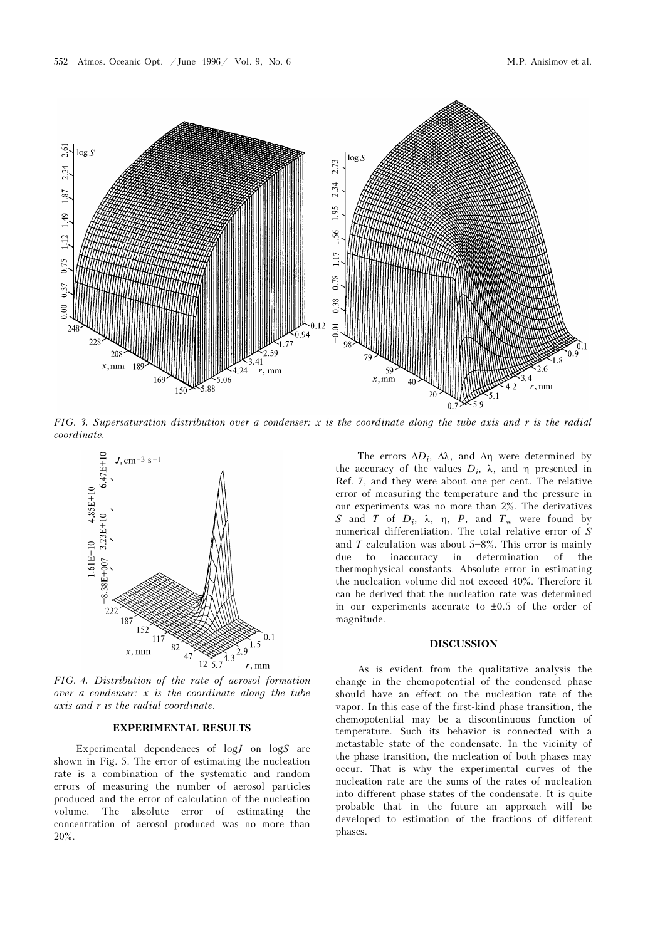

FIG. 3. Supersaturation distribution over a condenser: x is the coordinate along the tube axis and r is the radial coordinate.



FIG. 4. Distribution of the rate of aerosol formation over a condenser: x is the coordinate along the tube axis and r is the radial coordinate.

## EXPERIMENTAL RESULTS

Experimental dependences of  $log J$  on  $log S$  are shown in Fig. 5. The error of estimating the nucleation rate is a combination of the systematic and random errors of measuring the number of aerosol particles produced and the error of calculation of the nucleation volume. The absolute error of estimating the concentration of aerosol produced was no more than 20%.

The errors  $\Delta D_i$ ,  $\Delta \lambda$ , and  $\Delta \eta$  were determined by the accuracy of the values  $D_i$ ,  $\lambda$ , and  $\eta$  presented in Ref. 7, and they were about one per cent. The relative error of measuring the temperature and the pressure in our experiments was no more than 2%. The derivatives S and T of  $D_i$ ,  $\lambda$ ,  $\eta$ ,  $P$ , and  $T_w$  were found by numerical differentiation. The total relative error of  $S$ and T calculation was about  $5-8\%$ . This error is mainly due to inaccuracy in determination of the thermophysical constants. Absolute error in estimating the nucleation volume did not exceed 40%. Therefore it can be derived that the nucleation rate was determined in our experiments accurate to  $\pm 0.5$  of the order of magnitude.

#### DISCUSSION

As is evident from the qualitative analysis the change in the chemopotential of the condensed phase should have an effect on the nucleation rate of the vapor. In this case of the first-kind phase transition, the chemopotential may be a discontinuous function of temperature. Such its behavior is connected with a metastable state of the condensate. In the vicinity of the phase transition, the nucleation of both phases may occur. That is why the experimental curves of the nucleation rate are the sums of the rates of nucleation into different phase states of the condensate. It is quite probable that in the future an approach will be developed to estimation of the fractions of different phases.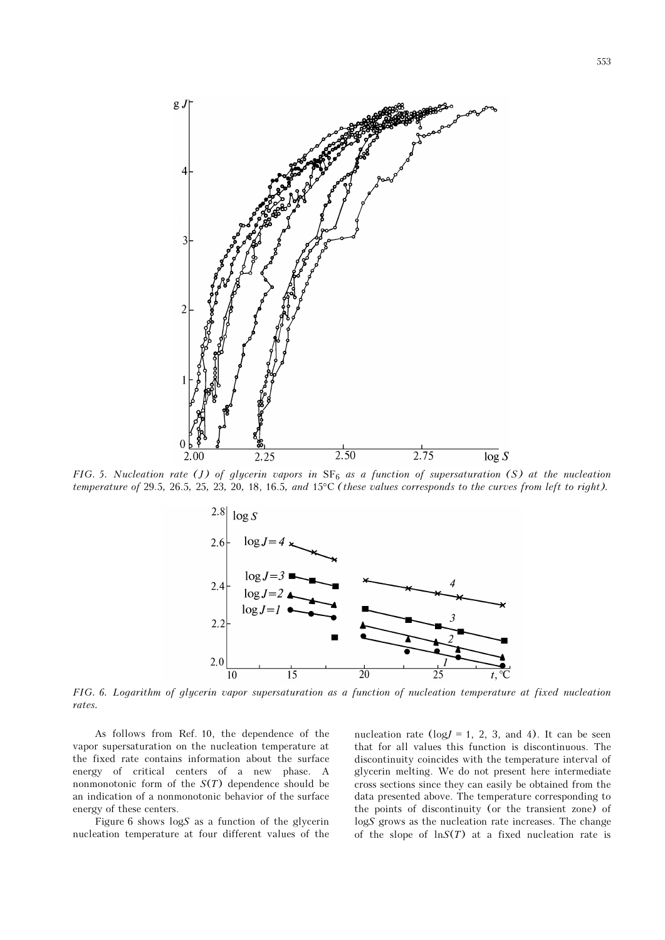

FIG. 5. Nucleation rate (J) of glycerin vapors in  $SF_6$  as a function of supersaturation (S) at the nucleation temperature of 29.5, 26.5, 25, 23, 20, 18, 16.5, and 15°C (these values corresponds to the curves from left to right).



FIG. 6. Logarithm of glycerin vapor supersaturation as a function of nucleation temperature at fixed nucleation rates.

As follows from Ref. 10, the dependence of the vapor supersaturation on the nucleation temperature at the fixed rate contains information about the surface energy of critical centers of a new phase. A nonmonotonic form of the  $S(T)$  dependence should be an indication of a nonmonotonic behavior of the surface energy of these centers.

Figure 6 shows  $\log S$  as a function of the glycerin nucleation temperature at four different values of the nucleation rate ( $log J = 1$ , 2, 3, and 4). It can be seen that for all values this function is discontinuous. The discontinuity coincides with the temperature interval of glycerin melting. We do not present here intermediate cross sections since they can easily be obtained from the data presented above. The temperature corresponding to the points of discontinuity (or the transient zone) of logS grows as the nucleation rate increases. The change of the slope of  $\ln S(T)$  at a fixed nucleation rate is